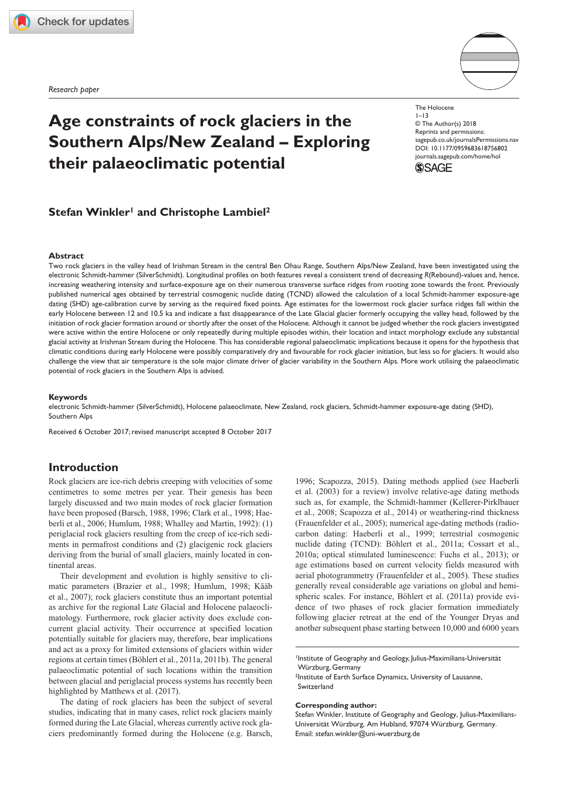**[756802](http://crossmark.crossref.org/dialog/?doi=10.1177%2F0959683618756802&domain=pdf&date_stamp=2018-02-09)** HOL0010.1177/0959683618756802The HoloceneWinkler and Lambiel

*Research paper*



# **Age constraints of rock glaciers in the Southern Alps/New Zealand – Exploring their palaeoclimatic potential**

**Stefan Winkler<sup>1</sup> and Christophe Lambiel<sup>2</sup>** 

### **Abstract**

Two rock glaciers in the valley head of Irishman Stream in the central Ben Ohau Range, Southern Alps/New Zealand, have been investigated using the electronic Schmidt-hammer (SilverSchmidt). Longitudinal profiles on both features reveal a consistent trend of decreasing *R*(Rebound)-values and, hence, increasing weathering intensity and surface-exposure age on their numerous transverse surface ridges from rooting zone towards the front. Previously published numerical ages obtained by terrestrial cosmogenic nuclide dating (TCND) allowed the calculation of a local Schmidt-hammer exposure-age dating (SHD) age-calibration curve by serving as the required fixed points. Age estimates for the lowermost rock glacier surface ridges fall within the early Holocene between 12 and 10.5 ka and indicate a fast disappearance of the Late Glacial glacier formerly occupying the valley head, followed by the initiation of rock glacier formation around or shortly after the onset of the Holocene. Although it cannot be judged whether the rock glaciers investigated were active within the entire Holocene or only repeatedly during multiple episodes within, their location and intact morphology exclude any substantial glacial activity at Irishman Stream during the Holocene. This has considerable regional palaeoclimatic implications because it opens for the hypothesis that climatic conditions during early Holocene were possibly comparatively dry and favourable for rock glacier initiation, but less so for glaciers. It would also challenge the view that air temperature is the sole major climate driver of glacier variability in the Southern Alps. More work utilising the palaeoclimatic potential of rock glaciers in the Southern Alps is advised.

#### **Keywords**

electronic Schmidt-hammer (SilverSchmidt), Holocene palaeoclimate, New Zealand, rock glaciers, Schmidt-hammer exposure-age dating (SHD), Southern Alps

Received 6 October 2017; revised manuscript accepted 8 October 2017

# **Introduction**

Rock glaciers are ice-rich debris creeping with velocities of some centimetres to some metres per year. Their genesis has been largely discussed and two main modes of rock glacier formation have been proposed (Barsch, 1988, 1996; Clark et al., 1998; Haeberli et al., 2006; Humlum, 1988; Whalley and Martin, 1992): (1) periglacial rock glaciers resulting from the creep of ice-rich sediments in permafrost conditions and (2) glacigenic rock glaciers deriving from the burial of small glaciers, mainly located in continental areas.

Their development and evolution is highly sensitive to climatic parameters (Brazier et al., 1998; Humlum, 1998; Kääb et al., 2007); rock glaciers constitute thus an important potential as archive for the regional Late Glacial and Holocene palaeoclimatology. Furthermore, rock glacier activity does exclude concurrent glacial activity. Their occurrence at specified location potentially suitable for glaciers may, therefore, bear implications and act as a proxy for limited extensions of glaciers within wider regions at certain times (Böhlert et al., 2011a, 2011b). The general palaeoclimatic potential of such locations within the transition between glacial and periglacial process systems has recently been highlighted by Matthews et al. (2017).

The dating of rock glaciers has been the subject of several studies, indicating that in many cases, relict rock glaciers mainly formed during the Late Glacial, whereas currently active rock glaciers predominantly formed during the Holocene (e.g. Barsch,

1996; Scapozza, 2015). Dating methods applied (see Haeberli et al. (2003) for a review) involve relative-age dating methods such as, for example, the Schmidt-hammer (Kellerer-Pirklbauer et al., 2008; Scapozza et al., 2014) or weathering-rind thickness (Frauenfelder et al., 2005); numerical age-dating methods (radiocarbon dating: Haeberli et al., 1999; terrestrial cosmogenic nuclide dating (TCND): Böhlert et al., 2011a; Cossart et al., 2010a; optical stimulated luminescence: Fuchs et al., 2013); or age estimations based on current velocity fields measured with aerial photogrammetry (Frauenfelder et al., 2005). These studies generally reveal considerable age variations on global and hemispheric scales. For instance, Böhlert et al. (2011a) provide evidence of two phases of rock glacier formation immediately following glacier retreat at the end of the Younger Dryas and another subsequent phase starting between 10,000 and 6000 years

1Institute of Geography and Geology, Julius-Maximilians-Universität Würzburg, Germany

2Institute of Earth Surface Dynamics, University of Lausanne, Switzerland

#### **Corresponding author:**

Stefan Winkler, Institute of Geography and Geology, Julius-Maximilians-Universität Würzburg, Am Hubland, 97074 Würzburg, Germany. Email: [stefan.winkler@uni-wuerzburg.de](mailto:stefan.winkler@uni-wuerzburg.de)

DOI: 10.1177/0959683618756802 The Holocene  $1 - 13$ © The Author(s) 2018 Reprints and permissions: [sagepub.co.uk/journalsPermissions.nav](https://uk.sagepub.com/en-gb/journals-permissions) [journals.sagepub.com/home/hol](https://journals.sagepub.com/home/hol)

**SSAGE**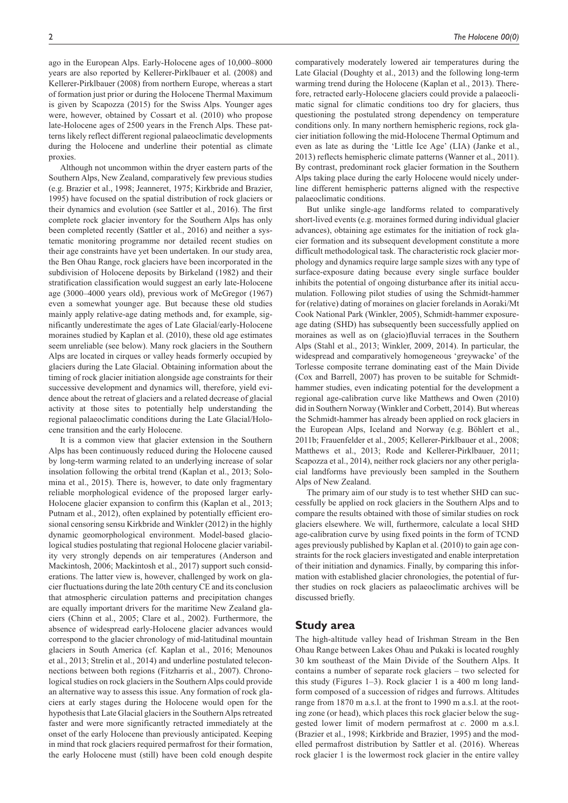ago in the European Alps. Early-Holocene ages of 10,000–8000 years are also reported by Kellerer-Pirklbauer et al. (2008) and Kellerer-Pirklbauer (2008) from northern Europe, whereas a start of formation just prior or during the Holocene Thermal Maximum is given by Scapozza (2015) for the Swiss Alps. Younger ages were, however, obtained by Cossart et al. (2010) who propose late-Holocene ages of 2500 years in the French Alps. These patterns likely reflect different regional palaeoclimatic developments during the Holocene and underline their potential as climate proxies.

Although not uncommon within the dryer eastern parts of the Southern Alps, New Zealand, comparatively few previous studies (e.g. Brazier et al., 1998; Jeanneret, 1975; Kirkbride and Brazier, 1995) have focused on the spatial distribution of rock glaciers or their dynamics and evolution (see Sattler et al., 2016). The first complete rock glacier inventory for the Southern Alps has only been completed recently (Sattler et al., 2016) and neither a systematic monitoring programme nor detailed recent studies on their age constraints have yet been undertaken. In our study area, the Ben Ohau Range, rock glaciers have been incorporated in the subdivision of Holocene deposits by Birkeland (1982) and their stratification classification would suggest an early late-Holocene age (3000–4000 years old), previous work of McGregor (1967) even a somewhat younger age. But because these old studies mainly apply relative-age dating methods and, for example, significantly underestimate the ages of Late Glacial/early-Holocene moraines studied by Kaplan et al. (2010), these old age estimates seem unreliable (see below). Many rock glaciers in the Southern Alps are located in cirques or valley heads formerly occupied by glaciers during the Late Glacial. Obtaining information about the timing of rock glacier initiation alongside age constraints for their successive development and dynamics will, therefore, yield evidence about the retreat of glaciers and a related decrease of glacial activity at those sites to potentially help understanding the regional palaeoclimatic conditions during the Late Glacial/Holocene transition and the early Holocene.

It is a common view that glacier extension in the Southern Alps has been continuously reduced during the Holocene caused by long-term warming related to an underlying increase of solar insolation following the orbital trend (Kaplan et al., 2013; Solomina et al., 2015). There is, however, to date only fragmentary reliable morphological evidence of the proposed larger early-Holocene glacier expansion to confirm this (Kaplan et al., 2013; Putnam et al., 2012), often explained by potentially efficient erosional censoring sensu Kirkbride and Winkler (2012) in the highly dynamic geomorphological environment. Model-based glaciological studies postulating that regional Holocene glacier variability very strongly depends on air temperatures (Anderson and Mackintosh, 2006; Mackintosh et al., 2017) support such considerations. The latter view is, however, challenged by work on glacier fluctuations during the late 20th century CE and its conclusion that atmospheric circulation patterns and precipitation changes are equally important drivers for the maritime New Zealand glaciers (Chinn et al., 2005; Clare et al., 2002). Furthermore, the absence of widespread early-Holocene glacier advances would correspond to the glacier chronology of mid-latitudinal mountain glaciers in South America (cf. Kaplan et al., 2016; Menounos et al., 2013; Strelin et al., 2014) and underline postulated teleconnections between both regions (Fitzharris et al., 2007). Chronological studies on rock glaciers in the Southern Alps could provide an alternative way to assess this issue. Any formation of rock glaciers at early stages during the Holocene would open for the hypothesis that Late Glacial glaciers in the Southern Alps retreated faster and were more significantly retracted immediately at the onset of the early Holocene than previously anticipated. Keeping in mind that rock glaciers required permafrost for their formation, the early Holocene must (still) have been cold enough despite

comparatively moderately lowered air temperatures during the Late Glacial (Doughty et al., 2013) and the following long-term warming trend during the Holocene (Kaplan et al., 2013). Therefore, retracted early-Holocene glaciers could provide a palaeoclimatic signal for climatic conditions too dry for glaciers, thus questioning the postulated strong dependency on temperature conditions only. In many northern hemispheric regions, rock glacier initiation following the mid-Holocene Thermal Optimum and even as late as during the 'Little Ice Age' (LIA) (Janke et al., 2013) reflects hemispheric climate patterns (Wanner et al., 2011). By contrast, predominant rock glacier formation in the Southern Alps taking place during the early Holocene would nicely underline different hemispheric patterns aligned with the respective palaeoclimatic conditions.

But unlike single-age landforms related to comparatively short-lived events (e.g. moraines formed during individual glacier advances), obtaining age estimates for the initiation of rock glacier formation and its subsequent development constitute a more difficult methodological task. The characteristic rock glacier morphology and dynamics require large sample sizes with any type of surface-exposure dating because every single surface boulder inhibits the potential of ongoing disturbance after its initial accumulation. Following pilot studies of using the Schmidt-hammer for (relative) dating of moraines on glacier forelands in Aoraki/Mt Cook National Park (Winkler, 2005), Schmidt-hammer exposureage dating (SHD) has subsequently been successfully applied on moraines as well as on (glacio)fluvial terraces in the Southern Alps (Stahl et al., 2013; Winkler, 2009, 2014). In particular, the widespread and comparatively homogeneous 'greywacke' of the Torlesse composite terrane dominating east of the Main Divide (Cox and Barrell, 2007) has proven to be suitable for Schmidthammer studies, even indicating potential for the development a regional age-calibration curve like Matthews and Owen (2010) did in Southern Norway (Winkler and Corbett, 2014). But whereas the Schmidt-hammer has already been applied on rock glaciers in the European Alps, Iceland and Norway (e.g. Böhlert et al., 2011b; Frauenfelder et al., 2005; Kellerer-Pirklbauer et al., 2008; Matthews et al., 2013; Rode and Kellerer-Pirklbauer, 2011; Scapozza et al., 2014), neither rock glaciers nor any other periglacial landforms have previously been sampled in the Southern Alps of New Zealand.

The primary aim of our study is to test whether SHD can successfully be applied on rock glaciers in the Southern Alps and to compare the results obtained with those of similar studies on rock glaciers elsewhere. We will, furthermore, calculate a local SHD age-calibration curve by using fixed points in the form of TCND ages previously published by Kaplan et al. (2010) to gain age constraints for the rock glaciers investigated and enable interpretation of their initiation and dynamics. Finally, by comparing this information with established glacier chronologies, the potential of further studies on rock glaciers as palaeoclimatic archives will be discussed briefly.

## **Study area**

The high-altitude valley head of Irishman Stream in the Ben Ohau Range between Lakes Ohau and Pukaki is located roughly 30 km southeast of the Main Divide of the Southern Alps. It contains a number of separate rock glaciers – two selected for this study (Figures 1–3). Rock glacier 1 is a 400 m long landform composed of a succession of ridges and furrows. Altitudes range from 1870 m a.s.l. at the front to 1990 m a.s.l. at the rooting zone (or head), which places this rock glacier below the suggested lower limit of modern permafrost at *c*. 2000 m a.s.l. (Brazier et al., 1998; Kirkbride and Brazier, 1995) and the modelled permafrost distribution by Sattler et al. (2016). Whereas rock glacier 1 is the lowermost rock glacier in the entire valley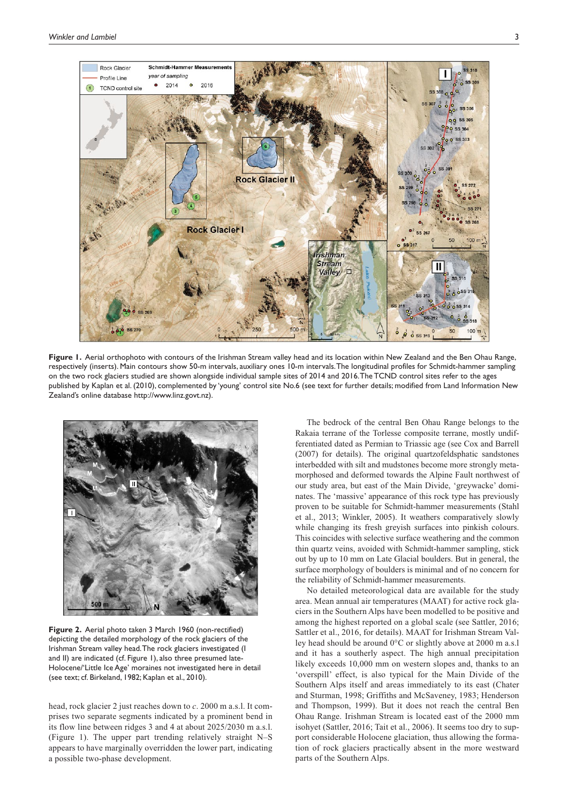

Figure 1. Aerial orthophoto with contours of the Irishman Stream valley head and its location within New Zealand and the Ben Ohau Range, respectively (inserts). Main contours show 50-m intervals, auxiliary ones 10-m intervals. The longitudinal profiles for Schmidt-hammer sampling on the two rock glaciers studied are shown alongside individual sample sites of 2014 and 2016. The TCND control sites refer to the ages published by Kaplan et al. (2010), complemented by 'young' control site No.6 (see text for further details; modified from Land Information New Zealand's online database [http://www.linz.govt.nz\)](http://www.linz.govt.nz).



**Figure 2.** Aerial photo taken 3 March 1960 (non-rectified) depicting the detailed morphology of the rock glaciers of the Irishman Stream valley head. The rock glaciers investigated (I and II) are indicated (cf. Figure 1), also three presumed late-Holocene/'Little Ice Age' moraines not investigated here in detail (see text; cf. Birkeland, 1982; Kaplan et al., 2010).

head, rock glacier 2 just reaches down to *c*. 2000 m a.s.l. It comprises two separate segments indicated by a prominent bend in its flow line between ridges 3 and 4 at about 2025/2030 m a.s.l. (Figure 1). The upper part trending relatively straight N–S appears to have marginally overridden the lower part, indicating a possible two-phase development.

The bedrock of the central Ben Ohau Range belongs to the Rakaia terrane of the Torlesse composite terrane, mostly undifferentiated dated as Permian to Triassic age (see Cox and Barrell (2007) for details). The original quartzofeldsphatic sandstones interbedded with silt and mudstones become more strongly metamorphosed and deformed towards the Alpine Fault northwest of our study area, but east of the Main Divide, 'greywacke' dominates. The 'massive' appearance of this rock type has previously proven to be suitable for Schmidt-hammer measurements (Stahl et al., 2013; Winkler, 2005). It weathers comparatively slowly while changing its fresh greyish surfaces into pinkish colours. This coincides with selective surface weathering and the common thin quartz veins, avoided with Schmidt-hammer sampling, stick out by up to 10 mm on Late Glacial boulders. But in general, the surface morphology of boulders is minimal and of no concern for the reliability of Schmidt-hammer measurements.

No detailed meteorological data are available for the study area. Mean annual air temperatures (MAAT) for active rock glaciers in the Southern Alps have been modelled to be positive and among the highest reported on a global scale (see Sattler, 2016; Sattler et al., 2016, for details). MAAT for Irishman Stream Valley head should be around 0°C or slightly above at 2000 m a.s.l and it has a southerly aspect. The high annual precipitation likely exceeds 10,000 mm on western slopes and, thanks to an 'overspill' effect, is also typical for the Main Divide of the Southern Alps itself and areas immediately to its east (Chater and Sturman, 1998; Griffiths and McSaveney, 1983; Henderson and Thompson, 1999). But it does not reach the central Ben Ohau Range. Irishman Stream is located east of the 2000 mm isohyet (Sattler, 2016; Tait et al., 2006). It seems too dry to support considerable Holocene glaciation, thus allowing the formation of rock glaciers practically absent in the more westward parts of the Southern Alps.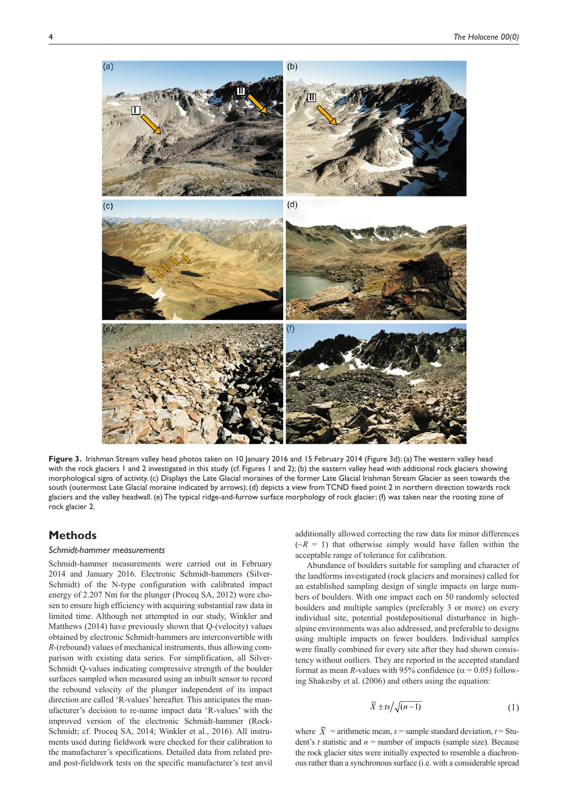

**Figure 3.** Irishman Stream valley head photos taken on 10 January 2016 and 15 February 2014 (Figure 3d): (a) The western valley head with the rock glaciers 1 and 2 investigated in this study (cf. Figures 1 and 2); (b) the eastern valley head with additional rock glaciers showing morphological signs of activity. (c) Displays the Late Glacial moraines of the former Late Glacial Irishman Stream Glacier as seen towards the south (outermost Late Glacial moraine indicated by arrows); (d) depicts a view from TCND fixed point 2 in northern direction towards rock glaciers and the valley headwall. (e) The typical ridge-and-furrow surface morphology of rock glacier; (f) was taken near the rooting zone of rock glacier 2.

# **Methods**

## *Schmidt-hammer measurements*

Schmidt-hammer measurements were carried out in February 2014 and January 2016. Electronic Schmidt-hammers (Silver-Schmidt) of the N-type configuration with calibrated impact energy of 2.207 Nm for the plunger (Proceq SA, 2012) were chosen to ensure high efficiency with acquiring substantial raw data in limited time. Although not attempted in our study, Winkler and Matthews (2014) have previously shown that Q-(velocity) values obtained by electronic Schmidt-hammers are interconvertible with *R*-(rebound) values of mechanical instruments, thus allowing comparison with existing data series. For simplification, all Silver-Schmidt Q-values indicating compressive strength of the boulder surfaces sampled when measured using an inbuilt sensor to record the rebound velocity of the plunger independent of its impact direction are called 'R-values' hereafter. This anticipates the manufacturer's decision to re-name impact data 'R-values' with the improved version of the electronic Schmidt-hammer (Rock-Schmidt; cf. Proceq SA, 2014; Winkler et al., 2016). All instruments used during fieldwork were checked for their calibration to the manufacturer's specifications. Detailed data from related preand post-fieldwork tests on the specific manufacturer's test anvil additionally allowed correcting the raw data for minor differences  $(\neg R = 1)$  that otherwise simply would have fallen within the acceptable range of tolerance for calibration.

Abundance of boulders suitable for sampling and character of the landforms investigated (rock glaciers and moraines) called for an established sampling design of single impacts on large numbers of boulders. With one impact each on 50 randomly selected boulders and multiple samples (preferably 3 or more) on every individual site, potential postdepositional disturbance in highalpine environments was also addressed, and preferable to designs using multiple impacts on fewer boulders. Individual samples were finally combined for every site after they had shown consistency without outliers. They are reported in the accepted standard format as mean *R*-values with 95% confidence ( $\alpha$  = 0.05) following Shakesby et al. (2006) and others using the equation:

$$
\bar{X} \pm ts / \sqrt{(n-1)} \tag{1}
$$

where  $\overline{X}$  = arithmetic mean, *s* = sample standard deviation, *t* = Student's *t* statistic and  $n =$  number of impacts (sample size). Because the rock glacier sites were initially expected to resemble a diachronous rather than a synchronous surface (i.e. with a considerable spread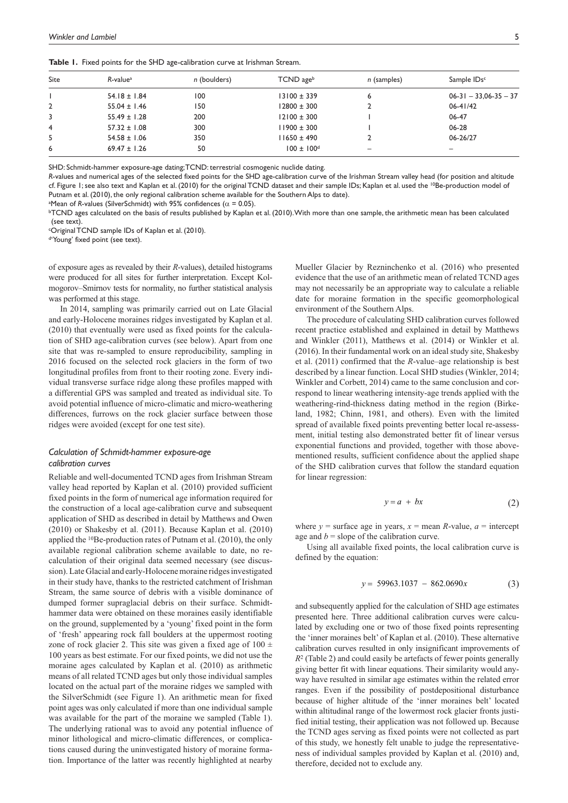Table 1. Fixed points for the SHD age-calibration curve at Irishman Stream.

| Site           | R-value <sup>a</sup> | n (boulders) | TCND ageb                  | n (samples) | Sample IDs <sup>c</sup> |
|----------------|----------------------|--------------|----------------------------|-------------|-------------------------|
|                | $54.18 \pm 1.84$     | 100          | $13100 \pm 339$            |             | $06-31 - 33,06-35 - 37$ |
| $\overline{2}$ | $55.04 \pm 1.46$     | 150          | $12800 \pm 300$            |             | $06 - 41/42$            |
| 3              | $55.49 \pm 1.28$     | 200          | $12100 \pm 300$            |             | 06-47                   |
| 4              | $57.32 \pm 1.08$     | 300          | $11900 \pm 300$            |             | 06-28                   |
| -5             | $54.58 \pm 1.06$     | 350          | $11650 \pm 490$            |             | 06-26/27                |
| 6              | $69.47 \pm 1.26$     | 50           | $100 \pm 100$ <sup>d</sup> | -           | -                       |

SHD: Schmidt-hammer exposure-age dating; TCND: terrestrial cosmogenic nuclide dating.

*R*-values and numerical ages of the selected fixed points for the SHD age-calibration curve of the Irishman Stream valley head (for position and altitude cf. Figure 1; see also text and Kaplan et al. (2010) for the original TCND dataset and their sample IDs; Kaplan et al. used the <sup>10</sup>Be-production model of Putnam et al. (2010), the only regional calibration scheme available for the Southern Alps to date).

<sup>a</sup>Mean of *R*-values (SilverSchmidt) with 95% confidences ( $\alpha$  = 0.05).

**bTCND** ages calculated on the basis of results published by Kaplan et al. (2010). With more than one sample, the arithmetic mean has been calculated (see text).

cOriginal TCND sample IDs of Kaplan et al. (2010).

d'Young' fixed point (see text).

of exposure ages as revealed by their *R*-values), detailed histograms were produced for all sites for further interpretation. Except Kolmogorov–Smirnov tests for normality, no further statistical analysis was performed at this stage.

In 2014, sampling was primarily carried out on Late Glacial and early-Holocene moraines ridges investigated by Kaplan et al. (2010) that eventually were used as fixed points for the calculation of SHD age-calibration curves (see below). Apart from one site that was re-sampled to ensure reproducibility, sampling in 2016 focused on the selected rock glaciers in the form of two longitudinal profiles from front to their rooting zone. Every individual transverse surface ridge along these profiles mapped with a differential GPS was sampled and treated as individual site. To avoid potential influence of micro-climatic and micro-weathering differences, furrows on the rock glacier surface between those ridges were avoided (except for one test site).

## *Calculation of Schmidt-hammer exposure-age calibration curves*

Reliable and well-documented TCND ages from Irishman Stream valley head reported by Kaplan et al. (2010) provided sufficient fixed points in the form of numerical age information required for the construction of a local age-calibration curve and subsequent application of SHD as described in detail by Matthews and Owen (2010) or Shakesby et al. (2011). Because Kaplan et al. (2010) applied the 10Be-production rates of Putnam et al. (2010), the only available regional calibration scheme available to date, no recalculation of their original data seemed necessary (see discussion). Late Glacial and early-Holocene moraine ridges investigated in their study have, thanks to the restricted catchment of Irishman Stream, the same source of debris with a visible dominance of dumped former supraglacial debris on their surface. Schmidthammer data were obtained on these moraines easily identifiable on the ground, supplemented by a 'young' fixed point in the form of 'fresh' appearing rock fall boulders at the uppermost rooting zone of rock glacier 2. This site was given a fixed age of  $100 \pm$ 100 years as best estimate. For our fixed points, we did not use the moraine ages calculated by Kaplan et al. (2010) as arithmetic means of all related TCND ages but only those individual samples located on the actual part of the moraine ridges we sampled with the SilverSchmidt (see Figure 1). An arithmetic mean for fixed point ages was only calculated if more than one individual sample was available for the part of the moraine we sampled (Table 1). The underlying rational was to avoid any potential influence of minor lithological and micro-climatic differences, or complications caused during the uninvestigated history of moraine formation. Importance of the latter was recently highlighted at nearby

Mueller Glacier by Rezninchenko et al. (2016) who presented evidence that the use of an arithmetic mean of related TCND ages may not necessarily be an appropriate way to calculate a reliable date for moraine formation in the specific geomorphological environment of the Southern Alps.

The procedure of calculating SHD calibration curves followed recent practice established and explained in detail by Matthews and Winkler (2011), Matthews et al. (2014) or Winkler et al. (2016). In their fundamental work on an ideal study site, Shakesby et al. (2011) confirmed that the *R*-value–age relationship is best described by a linear function. Local SHD studies (Winkler, 2014; Winkler and Corbett, 2014) came to the same conclusion and correspond to linear weathering intensity-age trends applied with the weathering-rind-thickness dating method in the region (Birkeland, 1982; Chinn, 1981, and others). Even with the limited spread of available fixed points preventing better local re-assessment, initial testing also demonstrated better fit of linear versus exponential functions and provided, together with those abovementioned results, sufficient confidence about the applied shape of the SHD calibration curves that follow the standard equation for linear regression:

$$
y = a + bx \tag{2}
$$

where  $y =$  surface age in years,  $x =$  mean *R*-value,  $a =$  intercept age and  $b =$  slope of the calibration curve.

Using all available fixed points, the local calibration curve is defined by the equation:

$$
y = 59963.1037 - 862.0690x \tag{3}
$$

and subsequently applied for the calculation of SHD age estimates presented here. Three additional calibration curves were calculated by excluding one or two of those fixed points representing the 'inner moraines belt' of Kaplan et al. (2010). These alternative calibration curves resulted in only insignificant improvements of  $R<sup>2</sup>$  (Table 2) and could easily be artefacts of fewer points generally giving better fit with linear equations. Their similarity would anyway have resulted in similar age estimates within the related error ranges. Even if the possibility of postdepositional disturbance because of higher altitude of the 'inner moraines belt' located within altitudinal range of the lowermost rock glacier fronts justified initial testing, their application was not followed up. Because the TCND ages serving as fixed points were not collected as part of this study, we honestly felt unable to judge the representativeness of individual samples provided by Kaplan et al. (2010) and, therefore, decided not to exclude any.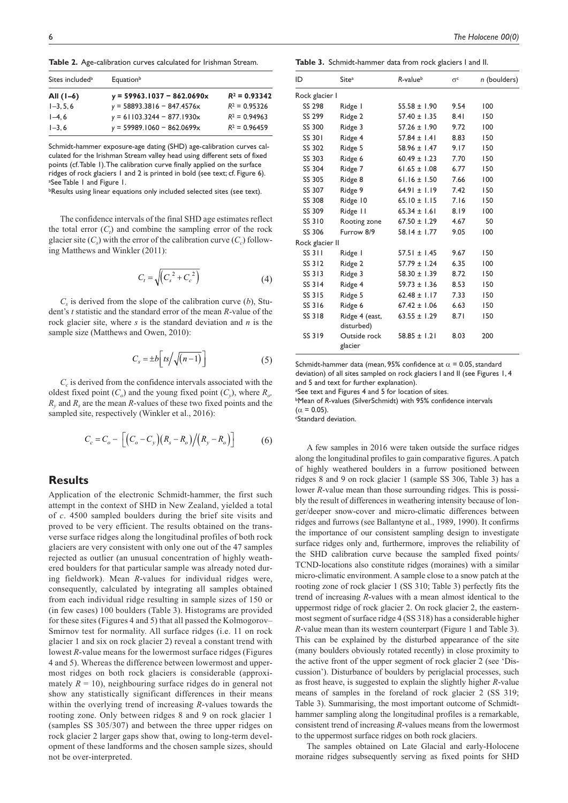**Table 2.** Age-calibration curves calculated for Irishman Stream.

| Sites included <sup>a</sup> | Equation <sup>b</sup>        |                 |  |  |
|-----------------------------|------------------------------|-----------------|--|--|
| All $(1-6)$                 | $y = 59963.1037 - 862.0690x$ | $R^2 = 0.93342$ |  |  |
| $1-3.5.6$                   | $y = 58893.3816 - 847.4576x$ | $R^2 = 0.95326$ |  |  |
| $1-4, 6$                    | $y = 61103.3244 - 877.1930x$ | $R^2 = 0.94963$ |  |  |
| $1 - 3, 6$                  | $y = 59989.1060 - 862.0699x$ | $R^2 = 0.96459$ |  |  |

Schmidt-hammer exposure-age dating (SHD) age-calibration curves calculated for the Irishman Stream valley head using different sets of fixed points (cf. Table 1). The calibration curve finally applied on the surface ridges of rock glaciers 1 and 2 is printed in bold (see text; cf. Figure 6). a See Table 1 and Figure 1.

**bResults using linear equations only included selected sites (see text).** 

The confidence intervals of the final SHD age estimates reflect the total error  $(C_t)$  and combine the sampling error of the rock glacier site  $(C_s)$  with the error of the calibration curve  $(C_c)$  following Matthews and Winkler (2011):

$$
C_t = \sqrt{C_s^2 + C_c^2}
$$
 (4)

 $C<sub>s</sub>$  is derived from the slope of the calibration curve (*b*), Student's *t* statistic and the standard error of the mean *R*-value of the rock glacier site, where *s* is the standard deviation and *n* is the sample size (Matthews and Owen, 2010):

$$
C_s = \pm b \left[ \frac{ts}{\sqrt{(n-1)}} \right] \tag{5}
$$

 $C<sub>c</sub>$  is derived from the confidence intervals associated with the oldest fixed point  $(C_o)$  and the young fixed point  $(C_v)$ , where  $R_o$ , *R*<sub>n</sub> and *R*<sub>n</sub> are the mean *R*-values of these two fixed points and the sampled site, respectively (Winkler et al., 2016):

$$
C_c = C_o - \left[ \left( C_o - C_y \right) \left( R_s - R_o \right) / \left( R_y - R_o \right) \right] \tag{6}
$$

# **Results**

Application of the electronic Schmidt-hammer, the first such attempt in the context of SHD in New Zealand, yielded a total of *c*. 4500 sampled boulders during the brief site visits and proved to be very efficient. The results obtained on the transverse surface ridges along the longitudinal profiles of both rock glaciers are very consistent with only one out of the 47 samples rejected as outlier (an unusual concentration of highly weathered boulders for that particular sample was already noted during fieldwork). Mean *R*-values for individual ridges were, consequently, calculated by integrating all samples obtained from each individual ridge resulting in sample sizes of 150 or (in few cases) 100 boulders (Table 3). Histograms are provided for these sites (Figures 4 and 5) that all passed the Kolmogorov– Smirnov test for normality. All surface ridges (i.e. 11 on rock glacier 1 and six on rock glacier 2) reveal a constant trend with lowest *R*-value means for the lowermost surface ridges (Figures 4 and 5). Whereas the difference between lowermost and uppermost ridges on both rock glaciers is considerable (approximately  $R = 10$ ), neighbouring surface ridges do in general not show any statistically significant differences in their means within the overlying trend of increasing *R*-values towards the rooting zone. Only between ridges 8 and 9 on rock glacier 1 (samples SS 305/307) and between the three upper ridges on rock glacier 2 larger gaps show that, owing to long-term development of these landforms and the chosen sample sizes, should not be over-interpreted.

**Table 3.** Schmidt-hammer data from rock glaciers I and II.

| ID              | Site <sup>a</sup>            | $R$ -value $b$   | $\alpha_c$ | n (boulders) |
|-----------------|------------------------------|------------------|------------|--------------|
| Rock glacier I  |                              |                  |            |              |
| SS 298          | Ridge I                      | $55.58 \pm 1.90$ | 9.54       | 100          |
| SS 299          | Ridge 2                      | $57.40 \pm 1.35$ | 8.41       | 150          |
| SS 300          | Ridge 3                      | $57.26 \pm 1.90$ | 9.72       | 100          |
| SS 301          | Ridge 4                      | $57.84 \pm 1.41$ | 8.83       | 150          |
| SS 302          | Ridge 5                      | $58.96 \pm 1.47$ | 9.17       | 150          |
| SS 303          | Ridge 6                      | $60.49 \pm 1.23$ | 7.70       | 150          |
| SS 304          | Ridge 7                      | $61.65 \pm 1.08$ | 6.77       | 150          |
| SS 305          | Ridge 8                      | $61.16 \pm 1.50$ | 7.66       | 100          |
| SS 307          | Ridge 9                      | $64.91 \pm 1.19$ | 7.42       | 150          |
| SS 308          | Ridge 10                     | $65.10 \pm 1.15$ | 7.16       | 150          |
| SS 309          | Ridge 11                     | $65.34 \pm 1.61$ | 8.19       | 100          |
| SS 310          | Rooting zone                 | $67.50 \pm 1.29$ | 4.67       | 50           |
| SS 306          | Furrow 8/9                   | $58.14 \pm 1.77$ | 9.05       | 100          |
| Rock glacier II |                              |                  |            |              |
| SS 311          | Ridge I                      | $57.51 \pm 1.45$ | 9.67       | 150          |
| SS 312          | Ridge 2                      | $57.79 \pm 1.24$ | 6.35       | 100          |
| SS 313          | Ridge 3                      | $58.30 \pm 1.39$ | 8.72       | 150          |
| SS 314          | Ridge 4                      | $59.73 \pm 1.36$ | 8.53       | 150          |
| SS 315          | Ridge 5                      | $62.48 \pm 1.17$ | 7.33       | 150          |
| SS 316          | Ridge 6                      | $67.42 \pm 1.06$ | 6.63       | 150          |
| SS 318          | Ridge 4 (east,<br>disturbed) | $63.55 \pm 1.29$ | 8.71       | 150          |
| SS 319          | Outside rock<br>glacier      | $58.85 \pm 1.21$ | 8.03       | 200          |

Schmidt-hammer data (mean, 95% confidence at  $\alpha$  = 0.05, standard deviation) of all sites sampled on rock glaciers I and II (see Figures 1, 4 and 5 and text for further explanation).

a See text and Figures 4 and 5 for location of sites.

**Mean of R-values (SilverSchmidt) with 95% confidence intervals**  $(\alpha = 0.05)$ .

cStandard deviation.

A few samples in 2016 were taken outside the surface ridges along the longitudinal profiles to gain comparative figures. A patch of highly weathered boulders in a furrow positioned between ridges 8 and 9 on rock glacier 1 (sample SS 306, Table 3) has a lower *R*-value mean than those surrounding ridges. This is possibly the result of differences in weathering intensity because of longer/deeper snow-cover and micro-climatic differences between ridges and furrows (see Ballantyne et al., 1989, 1990). It confirms the importance of our consistent sampling design to investigate surface ridges only and, furthermore, improves the reliability of the SHD calibration curve because the sampled fixed points/ TCND-locations also constitute ridges (moraines) with a similar micro-climatic environment. A sample close to a snow patch at the rooting zone of rock glacier 1 (SS 310; Table 3) perfectly fits the trend of increasing *R*-values with a mean almost identical to the uppermost ridge of rock glacier 2. On rock glacier 2, the easternmost segment of surface ridge 4 (SS 318) has a considerable higher *R*-value mean than its western counterpart (Figure 1 and Table 3). This can be explained by the disturbed appearance of the site (many boulders obviously rotated recently) in close proximity to the active front of the upper segment of rock glacier 2 (see 'Discussion'). Disturbance of boulders by periglacial processes, such as frost heave, is suggested to explain the slightly higher *R*-value means of samples in the foreland of rock glacier 2 (SS 319; Table 3). Summarising, the most important outcome of Schmidthammer sampling along the longitudinal profiles is a remarkable, consistent trend of increasing *R*-values means from the lowermost to the uppermost surface ridges on both rock glaciers.

The samples obtained on Late Glacial and early-Holocene moraine ridges subsequently serving as fixed points for SHD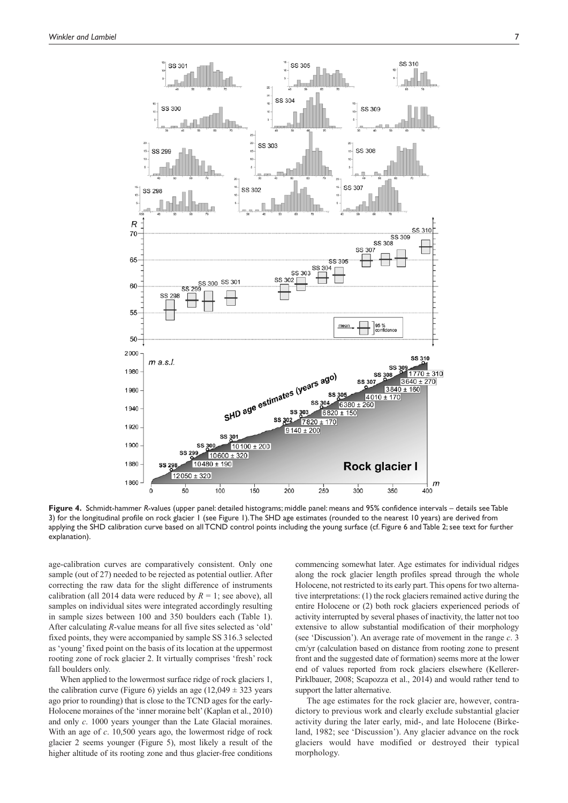

**Figure 4.** Schmidt-hammer *R*-values (upper panel: detailed histograms; middle panel: means and 95% confidence intervals – details see Table 3) for the longitudinal profile on rock glacier 1 (see Figure 1). The SHD age estimates (rounded to the nearest 10 years) are derived from applying the SHD calibration curve based on all TCND control points including the young surface (cf. Figure 6 and Table 2; see text for further explanation).

age-calibration curves are comparatively consistent. Only one sample (out of 27) needed to be rejected as potential outlier. After correcting the raw data for the slight difference of instruments calibration (all 2014 data were reduced by  $R = 1$ ; see above), all samples on individual sites were integrated accordingly resulting in sample sizes between 100 and 350 boulders each (Table 1). After calculating *R*-value means for all five sites selected as 'old' fixed points, they were accompanied by sample SS 316.3 selected as 'young' fixed point on the basis of its location at the uppermost rooting zone of rock glacier 2. It virtually comprises 'fresh' rock fall boulders only.

When applied to the lowermost surface ridge of rock glaciers 1, the calibration curve (Figure 6) yields an age  $(12,049 \pm 323$  years ago prior to rounding) that is close to the TCND ages for the early-Holocene moraines of the 'inner moraine belt' (Kaplan et al., 2010) and only *c*. 1000 years younger than the Late Glacial moraines. With an age of *c*. 10,500 years ago, the lowermost ridge of rock glacier 2 seems younger (Figure 5), most likely a result of the higher altitude of its rooting zone and thus glacier-free conditions commencing somewhat later. Age estimates for individual ridges along the rock glacier length profiles spread through the whole Holocene, not restricted to its early part. This opens for two alternative interpretations: (1) the rock glaciers remained active during the entire Holocene or (2) both rock glaciers experienced periods of activity interrupted by several phases of inactivity, the latter not too extensive to allow substantial modification of their morphology (see 'Discussion'). An average rate of movement in the range *c*. 3 cm/yr (calculation based on distance from rooting zone to present front and the suggested date of formation) seems more at the lower end of values reported from rock glaciers elsewhere (Kellerer-Pirklbauer, 2008; Scapozza et al., 2014) and would rather tend to support the latter alternative.

The age estimates for the rock glacier are, however, contradictory to previous work and clearly exclude substantial glacier activity during the later early, mid-, and late Holocene (Birkeland, 1982; see 'Discussion'). Any glacier advance on the rock glaciers would have modified or destroyed their typical morphology.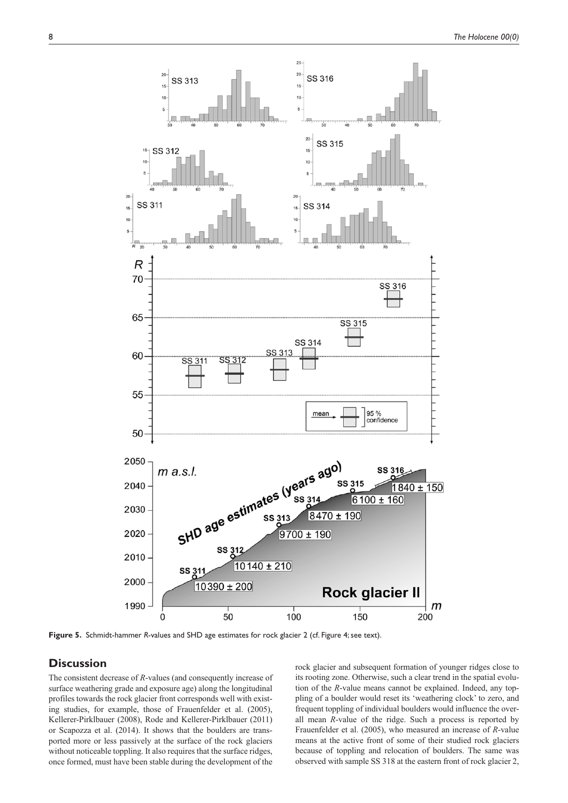

**Figure 5.** Schmidt-hammer *R*-values and SHD age estimates for rock glacier 2 (cf. Figure 4; see text).

# **Discussion**

The consistent decrease of *R*-values (and consequently increase of surface weathering grade and exposure age) along the longitudinal profiles towards the rock glacier front corresponds well with existing studies, for example, those of Frauenfelder et al. (2005), Kellerer-Pirklbauer (2008), Rode and Kellerer-Pirklbauer (2011) or Scapozza et al. (2014). It shows that the boulders are transported more or less passively at the surface of the rock glaciers without noticeable toppling. It also requires that the surface ridges, once formed, must have been stable during the development of the

rock glacier and subsequent formation of younger ridges close to its rooting zone. Otherwise, such a clear trend in the spatial evolution of the *R*-value means cannot be explained. Indeed, any toppling of a boulder would reset its 'weathering clock' to zero, and frequent toppling of individual boulders would influence the overall mean *R*-value of the ridge. Such a process is reported by Frauenfelder et al. (2005), who measured an increase of *R*-value means at the active front of some of their studied rock glaciers because of toppling and relocation of boulders. The same was observed with sample SS 318 at the eastern front of rock glacier 2,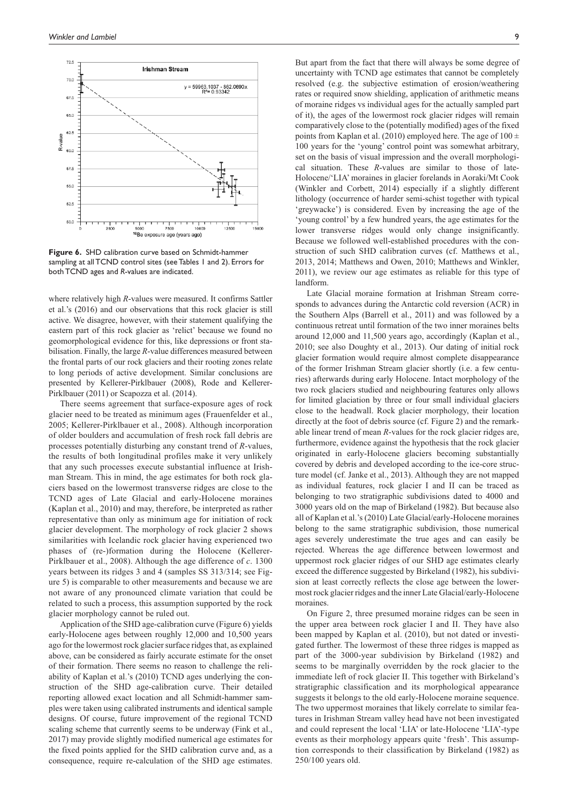

**Figure 6.** SHD calibration curve based on Schmidt-hammer sampling at all TCND control sites (see Tables 1 and 2). Errors for both TCND ages and *R*-values are indicated.

where relatively high *R*-values were measured. It confirms Sattler et al.'s (2016) and our observations that this rock glacier is still active. We disagree, however, with their statement qualifying the eastern part of this rock glacier as 'relict' because we found no geomorphological evidence for this, like depressions or front stabilisation. Finally, the large *R*-value differences measured between the frontal parts of our rock glaciers and their rooting zones relate to long periods of active development. Similar conclusions are presented by Kellerer-Pirklbauer (2008), Rode and Kellerer-Pirklbauer (2011) or Scapozza et al. (2014).

There seems agreement that surface-exposure ages of rock glacier need to be treated as minimum ages (Frauenfelder et al., 2005; Kellerer-Pirklbauer et al., 2008). Although incorporation of older boulders and accumulation of fresh rock fall debris are processes potentially disturbing any constant trend of *R*-values, the results of both longitudinal profiles make it very unlikely that any such processes execute substantial influence at Irishman Stream. This in mind, the age estimates for both rock glaciers based on the lowermost transverse ridges are close to the TCND ages of Late Glacial and early-Holocene moraines (Kaplan et al., 2010) and may, therefore, be interpreted as rather representative than only as minimum age for initiation of rock glacier development. The morphology of rock glacier 2 shows similarities with Icelandic rock glacier having experienced two phases of (re-)formation during the Holocene (Kellerer-Pirklbauer et al., 2008). Although the age difference of *c*. 1300 years between its ridges 3 and 4 (samples SS 313/314; see Figure 5) is comparable to other measurements and because we are not aware of any pronounced climate variation that could be related to such a process, this assumption supported by the rock glacier morphology cannot be ruled out.

Application of the SHD age-calibration curve (Figure 6) yields early-Holocene ages between roughly 12,000 and 10,500 years ago for the lowermost rock glacier surface ridges that, as explained above, can be considered as fairly accurate estimate for the onset of their formation. There seems no reason to challenge the reliability of Kaplan et al.'s (2010) TCND ages underlying the construction of the SHD age-calibration curve. Their detailed reporting allowed exact location and all Schmidt-hammer samples were taken using calibrated instruments and identical sample designs. Of course, future improvement of the regional TCND scaling scheme that currently seems to be underway (Fink et al., 2017) may provide slightly modified numerical age estimates for the fixed points applied for the SHD calibration curve and, as a consequence, require re-calculation of the SHD age estimates.

But apart from the fact that there will always be some degree of uncertainty with TCND age estimates that cannot be completely resolved (e.g. the subjective estimation of erosion/weathering rates or required snow shielding, application of arithmetic means of moraine ridges vs individual ages for the actually sampled part of it), the ages of the lowermost rock glacier ridges will remain comparatively close to the (potentially modified) ages of the fixed points from Kaplan et al. (2010) employed here. The age of  $100 \pm$ 100 years for the 'young' control point was somewhat arbitrary, set on the basis of visual impression and the overall morphological situation. These *R*-values are similar to those of late-Holocene/'LIA' moraines in glacier forelands in Aoraki/Mt Cook (Winkler and Corbett, 2014) especially if a slightly different lithology (occurrence of harder semi-schist together with typical 'greywacke') is considered. Even by increasing the age of the 'young control' by a few hundred years, the age estimates for the lower transverse ridges would only change insignificantly. Because we followed well-established procedures with the construction of such SHD calibration curves (cf. Matthews et al., 2013, 2014; Matthews and Owen, 2010; Matthews and Winkler, 2011), we review our age estimates as reliable for this type of landform.

Late Glacial moraine formation at Irishman Stream corresponds to advances during the Antarctic cold reversion (ACR) in the Southern Alps (Barrell et al., 2011) and was followed by a continuous retreat until formation of the two inner moraines belts around 12,000 and 11,500 years ago, accordingly (Kaplan et al., 2010; see also Doughty et al., 2013). Our dating of initial rock glacier formation would require almost complete disappearance of the former Irishman Stream glacier shortly (i.e. a few centuries) afterwards during early Holocene. Intact morphology of the two rock glaciers studied and neighbouring features only allows for limited glaciation by three or four small individual glaciers close to the headwall. Rock glacier morphology, their location directly at the foot of debris source (cf. Figure 2) and the remarkable linear trend of mean *R*-values for the rock glacier ridges are, furthermore, evidence against the hypothesis that the rock glacier originated in early-Holocene glaciers becoming substantially covered by debris and developed according to the ice-core structure model (cf. Janke et al., 2013). Although they are not mapped as individual features, rock glacier I and II can be traced as belonging to two stratigraphic subdivisions dated to 4000 and 3000 years old on the map of Birkeland (1982). But because also all of Kaplan et al.'s (2010) Late Glacial/early-Holocene moraines belong to the same stratigraphic subdivision, those numerical ages severely underestimate the true ages and can easily be rejected. Whereas the age difference between lowermost and uppermost rock glacier ridges of our SHD age estimates clearly exceed the difference suggested by Birkeland (1982), his subdivision at least correctly reflects the close age between the lowermost rock glacier ridges and the inner Late Glacial/early-Holocene moraines.

On Figure 2, three presumed moraine ridges can be seen in the upper area between rock glacier I and II. They have also been mapped by Kaplan et al. (2010), but not dated or investigated further. The lowermost of these three ridges is mapped as part of the 3000-year subdivision by Birkeland (1982) and seems to be marginally overridden by the rock glacier to the immediate left of rock glacier II. This together with Birkeland's stratigraphic classification and its morphological appearance suggests it belongs to the old early-Holocene moraine sequence. The two uppermost moraines that likely correlate to similar features in Irishman Stream valley head have not been investigated and could represent the local 'LIA' or late-Holocene 'LIA'-type events as their morphology appears quite 'fresh'. This assumption corresponds to their classification by Birkeland (1982) as 250/100 years old.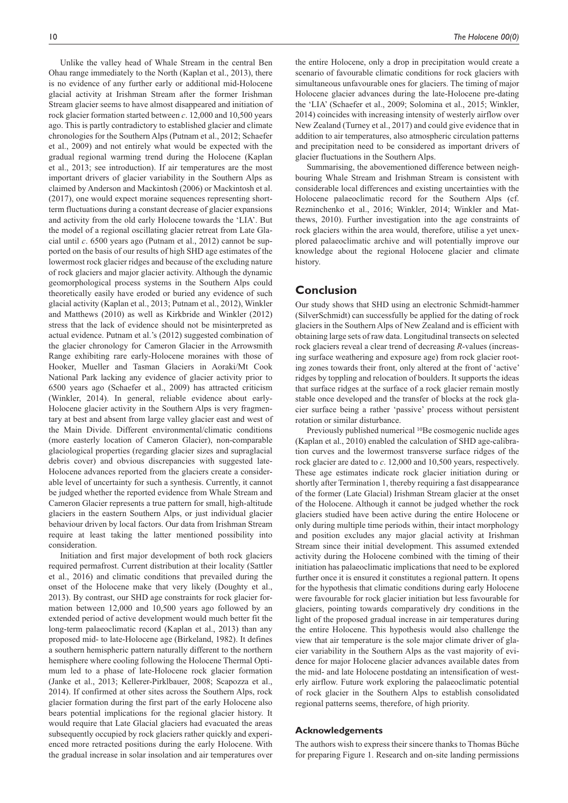Unlike the valley head of Whale Stream in the central Ben Ohau range immediately to the North (Kaplan et al., 2013), there is no evidence of any further early or additional mid-Holocene glacial activity at Irishman Stream after the former Irishman Stream glacier seems to have almost disappeared and initiation of rock glacier formation started between *c*. 12,000 and 10,500 years ago. This is partly contradictory to established glacier and climate chronologies for the Southern Alps (Putnam et al., 2012; Schaefer et al., 2009) and not entirely what would be expected with the gradual regional warming trend during the Holocene (Kaplan et al., 2013; see introduction). If air temperatures are the most important drivers of glacier variability in the Southern Alps as claimed by Anderson and Mackintosh (2006) or Mackintosh et al. (2017), one would expect moraine sequences representing shortterm fluctuations during a constant decrease of glacier expansions and activity from the old early Holocene towards the 'LIA'. But the model of a regional oscillating glacier retreat from Late Glacial until *c*. 6500 years ago (Putnam et al., 2012) cannot be supported on the basis of our results of high SHD age estimates of the lowermost rock glacier ridges and because of the excluding nature of rock glaciers and major glacier activity. Although the dynamic geomorphological process systems in the Southern Alps could theoretically easily have eroded or buried any evidence of such glacial activity (Kaplan et al., 2013; Putnam et al., 2012), Winkler and Matthews (2010) as well as Kirkbride and Winkler (2012) stress that the lack of evidence should not be misinterpreted as actual evidence. Putnam et al.'s (2012) suggested combination of the glacier chronology for Cameron Glacier in the Arrowsmith Range exhibiting rare early-Holocene moraines with those of Hooker, Mueller and Tasman Glaciers in Aoraki/Mt Cook National Park lacking any evidence of glacier activity prior to 6500 years ago (Schaefer et al., 2009) has attracted criticism (Winkler, 2014). In general, reliable evidence about early-Holocene glacier activity in the Southern Alps is very fragmentary at best and absent from large valley glacier east and west of the Main Divide. Different environmental/climatic conditions (more easterly location of Cameron Glacier), non-comparable glaciological properties (regarding glacier sizes and supraglacial debris cover) and obvious discrepancies with suggested late-Holocene advances reported from the glaciers create a considerable level of uncertainty for such a synthesis. Currently, it cannot be judged whether the reported evidence from Whale Stream and Cameron Glacier represents a true pattern for small, high-altitude glaciers in the eastern Southern Alps, or just individual glacier behaviour driven by local factors. Our data from Irishman Stream require at least taking the latter mentioned possibility into consideration.

Initiation and first major development of both rock glaciers required permafrost. Current distribution at their locality (Sattler et al., 2016) and climatic conditions that prevailed during the onset of the Holocene make that very likely (Doughty et al., 2013). By contrast, our SHD age constraints for rock glacier formation between 12,000 and 10,500 years ago followed by an extended period of active development would much better fit the long-term palaeoclimatic record (Kaplan et al., 2013) than any proposed mid- to late-Holocene age (Birkeland, 1982). It defines a southern hemispheric pattern naturally different to the northern hemisphere where cooling following the Holocene Thermal Optimum led to a phase of late-Holocene rock glacier formation (Janke et al., 2013; Kellerer-Pirklbauer, 2008; Scapozza et al., 2014). If confirmed at other sites across the Southern Alps, rock glacier formation during the first part of the early Holocene also bears potential implications for the regional glacier history. It would require that Late Glacial glaciers had evacuated the areas subsequently occupied by rock glaciers rather quickly and experienced more retracted positions during the early Holocene. With the gradual increase in solar insolation and air temperatures over

the entire Holocene, only a drop in precipitation would create a scenario of favourable climatic conditions for rock glaciers with simultaneous unfavourable ones for glaciers. The timing of major Holocene glacier advances during the late-Holocene pre-dating the 'LIA' (Schaefer et al., 2009; Solomina et al., 2015; Winkler, 2014) coincides with increasing intensity of westerly airflow over New Zealand (Turney et al., 2017) and could give evidence that in addition to air temperatures, also atmospheric circulation patterns and precipitation need to be considered as important drivers of glacier fluctuations in the Southern Alps.

Summarising, the abovementioned difference between neighbouring Whale Stream and Irishman Stream is consistent with considerable local differences and existing uncertainties with the Holocene palaeoclimatic record for the Southern Alps (cf. Rezninchenko et al., 2016; Winkler, 2014; Winkler and Matthews, 2010). Further investigation into the age constraints of rock glaciers within the area would, therefore, utilise a yet unexplored palaeoclimatic archive and will potentially improve our knowledge about the regional Holocene glacier and climate history.

# **Conclusion**

Our study shows that SHD using an electronic Schmidt-hammer (SilverSchmidt) can successfully be applied for the dating of rock glaciers in the Southern Alps of New Zealand and is efficient with obtaining large sets of raw data. Longitudinal transects on selected rock glaciers reveal a clear trend of decreasing *R*-values (increasing surface weathering and exposure age) from rock glacier rooting zones towards their front, only altered at the front of 'active' ridges by toppling and relocation of boulders. It supports the ideas that surface ridges at the surface of a rock glacier remain mostly stable once developed and the transfer of blocks at the rock glacier surface being a rather 'passive' process without persistent rotation or similar disturbance.

Previously published numerical 10Be cosmogenic nuclide ages (Kaplan et al., 2010) enabled the calculation of SHD age-calibration curves and the lowermost transverse surface ridges of the rock glacier are dated to *c*. 12,000 and 10,500 years, respectively. These age estimates indicate rock glacier initiation during or shortly after Termination 1, thereby requiring a fast disappearance of the former (Late Glacial) Irishman Stream glacier at the onset of the Holocene. Although it cannot be judged whether the rock glaciers studied have been active during the entire Holocene or only during multiple time periods within, their intact morphology and position excludes any major glacial activity at Irishman Stream since their initial development. This assumed extended activity during the Holocene combined with the timing of their initiation has palaeoclimatic implications that need to be explored further once it is ensured it constitutes a regional pattern. It opens for the hypothesis that climatic conditions during early Holocene were favourable for rock glacier initiation but less favourable for glaciers, pointing towards comparatively dry conditions in the light of the proposed gradual increase in air temperatures during the entire Holocene. This hypothesis would also challenge the view that air temperature is the sole major climate driver of glacier variability in the Southern Alps as the vast majority of evidence for major Holocene glacier advances available dates from the mid- and late Holocene postdating an intensification of westerly airflow. Future work exploring the palaeoclimatic potential of rock glacier in the Southern Alps to establish consolidated regional patterns seems, therefore, of high priority.

## **Acknowledgements**

The authors wish to express their sincere thanks to Thomas Büche for preparing Figure 1. Research and on-site landing permissions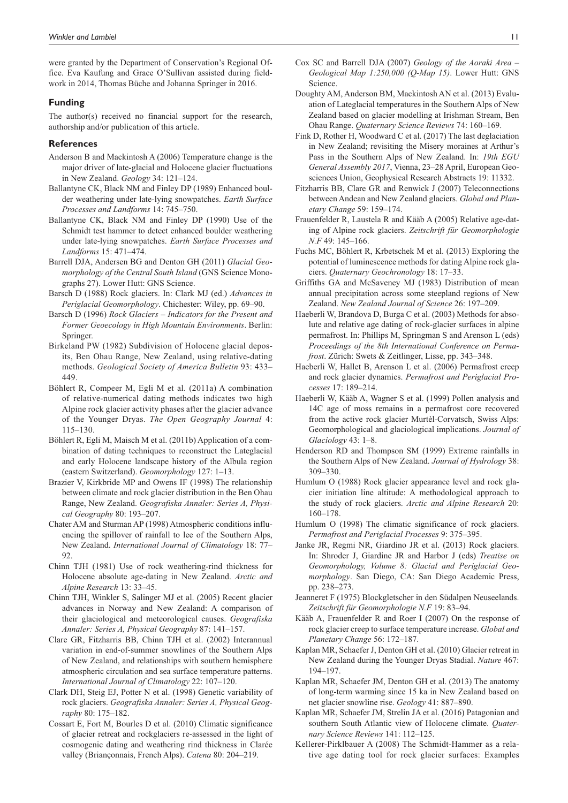were granted by the Department of Conservation's Regional Office. Eva Kaufung and Grace O'Sullivan assisted during fieldwork in 2014, Thomas Büche and Johanna Springer in 2016.

## **Funding**

The author(s) received no financial support for the research, authorship and/or publication of this article.

## **References**

- Anderson B and Mackintosh A (2006) Temperature change is the major driver of late-glacial and Holocene glacier fluctuations in New Zealand. *Geology* 34: 121–124.
- Ballantyne CK, Black NM and Finley DP (1989) Enhanced boulder weathering under late-lying snowpatches. *Earth Surface Processes and Landforms* 14: 745–750.
- Ballantyne CK, Black NM and Finley DP (1990) Use of the Schmidt test hammer to detect enhanced boulder weathering under late-lying snowpatches. *Earth Surface Processes and Landforms* 15: 471–474.
- Barrell DJA, Andersen BG and Denton GH (2011) *Glacial Geomorphology of the Central South Island* (GNS Science Monographs 27). Lower Hutt: GNS Science.
- Barsch D (1988) Rock glaciers. In: Clark MJ (ed.) *Advances in Periglacial Geomorphology*. Chichester: Wiley, pp. 69–90.
- Barsch D (1996) *Rock Glaciers Indicators for the Present and Former Geoecology in High Mountain Environments*. Berlin: Springer.
- Birkeland PW (1982) Subdivision of Holocene glacial deposits, Ben Ohau Range, New Zealand, using relative-dating methods. *Geological Society of America Bulletin* 93: 433– 449.
- Böhlert R, Compeer M, Egli M et al. (2011a) A combination of relative-numerical dating methods indicates two high Alpine rock glacier activity phases after the glacier advance of the Younger Dryas. *The Open Geography Journal* 4: 115–130.
- Böhlert R, Egli M, Maisch M et al. (2011b) Application of a combination of dating techniques to reconstruct the Lateglacial and early Holocene landscape history of the Albula region (eastern Switzerland). *Geomorphology* 127: 1–13.
- Brazier V, Kirkbride MP and Owens IF (1998) The relationship between climate and rock glacier distribution in the Ben Ohau Range, New Zealand. *Geografiska Annaler: Series A, Physical Geography* 80: 193–207.
- Chater AM and Sturman AP (1998) Atmospheric conditions influencing the spillover of rainfall to lee of the Southern Alps, New Zealand. *International Journal of Climatology* 18: 77– 92.
- Chinn TJH (1981) Use of rock weathering-rind thickness for Holocene absolute age-dating in New Zealand. *Arctic and Alpine Research* 13: 33–45.
- Chinn TJH, Winkler S, Salinger MJ et al. (2005) Recent glacier advances in Norway and New Zealand: A comparison of their glaciological and meteorological causes. *Geografiska Annaler: Series A, Physical Geography* 87: 141–157.
- Clare GR, Fitzharris BB, Chinn TJH et al. (2002) Interannual variation in end-of-summer snowlines of the Southern Alps of New Zealand, and relationships with southern hemisphere atmospheric circulation and sea surface temperature patterns. *International Journal of Climatology* 22: 107–120.
- Clark DH, Steig EJ, Potter N et al. (1998) Genetic variability of rock glaciers. *Geografiska Annaler: Series A, Physical Geography* 80: 175–182.
- Cossart E, Fort M, Bourles D et al. (2010) Climatic significance of glacier retreat and rockglaciers re-assessed in the light of cosmogenic dating and weathering rind thickness in Clarée valley (Briançonnais, French Alps). *Catena* 80: 204–219.
- Cox SC and Barrell DJA (2007) *Geology of the Aoraki Area Geological Map 1:250,000 (Q-Map 15)*. Lower Hutt: GNS Science.
- Doughty AM, Anderson BM, Mackintosh AN et al. (2013) Evaluation of Lateglacial temperatures in the Southern Alps of New Zealand based on glacier modelling at Irishman Stream, Ben Ohau Range. *Quaternary Science Reviews* 74: 160–169.
- Fink D, Rother H, Woodward C et al. (2017) The last deglaciation in New Zealand; revisiting the Misery moraines at Arthur's Pass in the Southern Alps of New Zealand. In: *19th EGU General Assembly 2017*, Vienna, 23–28 April, European Geosciences Union, Geophysical Research Abstracts 19: 11332.
- Fitzharris BB, Clare GR and Renwick J (2007) Teleconnections between Andean and New Zealand glaciers. *Global and Planetary Change* 59: 159–174.
- Frauenfelder R, Laustela R and Kääb A (2005) Relative age-dating of Alpine rock glaciers. *Zeitschrift für Geomorphologie N.F* 49: 145–166.
- Fuchs MC, Böhlert R, Krbetschek M et al. (2013) Exploring the potential of luminescence methods for dating Alpine rock glaciers. *Quaternary Geochronology* 18: 17–33.
- Griffiths GA and McSaveney MJ (1983) Distribution of mean annual precipitation across some steepland regions of New Zealand. *New Zealand Journal of Science* 26: 197–209.
- Haeberli W, Brandova D, Burga C et al. (2003) Methods for absolute and relative age dating of rock-glacier surfaces in alpine permafrost. In: Phillips M, Springman S and Arenson L (eds) *Proceedings of the 8th International Conference on Permafrost*. Zürich: Swets & Zeitlinger, Lisse, pp. 343–348.
- Haeberli W, Hallet B, Arenson L et al. (2006) Permafrost creep and rock glacier dynamics. *Permafrost and Periglacial Processes* 17: 189–214.
- Haeberli W, Kääb A, Wagner S et al. (1999) Pollen analysis and 14C age of moss remains in a permafrost core recovered from the active rock glacier Murtèl-Corvatsch, Swiss Alps: Geomorphological and glaciological implications. *Journal of Glaciology* 43: 1–8.
- Henderson RD and Thompson SM (1999) Extreme rainfalls in the Southern Alps of New Zealand. *Journal of Hydrology* 38: 309–330.
- Humlum O (1988) Rock glacier appearance level and rock glacier initiation line altitude: A methodological approach to the study of rock glaciers. *Arctic and Alpine Research* 20: 160–178.
- Humlum O (1998) The climatic significance of rock glaciers. *Permafrost and Periglacial Processes* 9: 375–395.
- Janke JR, Regmi NR, Giardino JR et al. (2013) Rock glaciers. In: Shroder J, Giardine JR and Harbor J (eds) *Treatise on Geomorphology, Volume 8: Glacial and Periglacial Geomorphology*. San Diego, CA: San Diego Academic Press, pp. 238–273.
- Jeanneret F (1975) Blockgletscher in den Südalpen Neuseelands. *Zeitschrift für Geomorphologie N.F* 19: 83–94.
- Kääb A, Frauenfelder R and Roer I (2007) On the response of rock glacier creep to surface temperature increase. *Global and Planetary Change* 56: 172–187.
- Kaplan MR, Schaefer J, Denton GH et al. (2010) Glacier retreat in New Zealand during the Younger Dryas Stadial. *Nature* 467: 194–197.
- Kaplan MR, Schaefer JM, Denton GH et al. (2013) The anatomy of long-term warming since 15 ka in New Zealand based on net glacier snowline rise. *Geology* 41: 887–890.
- Kaplan MR, Schaefer JM, Strelin JA et al. (2016) Patagonian and southern South Atlantic view of Holocene climate. *Quaternary Science Reviews* 141: 112–125.
- Kellerer-Pirklbauer A (2008) The Schmidt-Hammer as a relative age dating tool for rock glacier surfaces: Examples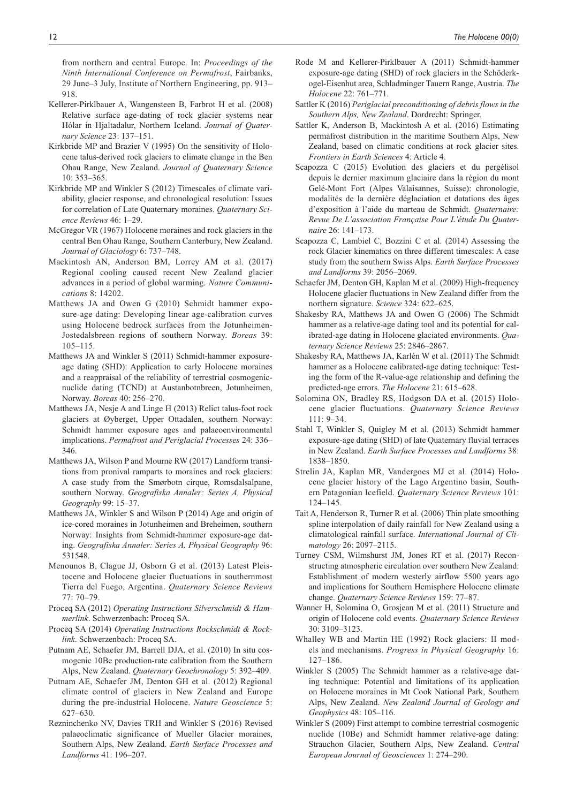from northern and central Europe. In: *Proceedings of the Ninth International Conference on Permafrost*, Fairbanks, 29 June–3 July, Institute of Northern Engineering, pp. 913– 918.

- Kellerer-Pirklbauer A, Wangensteen B, Farbrot H et al. (2008) Relative surface age-dating of rock glacier systems near Hólar in Hjaltadalur, Northern Iceland. *Journal of Quaternary Science* 23: 137–151.
- Kirkbride MP and Brazier V (1995) On the sensitivity of Holocene talus-derived rock glaciers to climate change in the Ben Ohau Range, New Zealand. *Journal of Quaternary Science* 10: 353–365.
- Kirkbride MP and Winkler S (2012) Timescales of climate variability, glacier response, and chronological resolution: Issues for correlation of Late Quaternary moraines. *Quaternary Science Reviews* 46: 1–29.
- McGregor VR (1967) Holocene moraines and rock glaciers in the central Ben Ohau Range, Southern Canterbury, New Zealand. *Journal of Glaciology* 6: 737–748.
- Mackintosh AN, Anderson BM, Lorrey AM et al. (2017) Regional cooling caused recent New Zealand glacier advances in a period of global warming. *Nature Communications* 8: 14202.
- Matthews JA and Owen G (2010) Schmidt hammer exposure-age dating: Developing linear age-calibration curves using Holocene bedrock surfaces from the Jotunheimen-Jostedalsbreen regions of southern Norway. *Boreas* 39: 105–115.
- Matthews JA and Winkler S (2011) Schmidt-hammer exposureage dating (SHD): Application to early Holocene moraines and a reappraisal of the reliability of terrestrial cosmogenicnuclide dating (TCND) at Austanbotnbreen, Jotunheimen, Norway. *Boreas* 40: 256–270.
- Matthews JA, Nesje A and Linge H (2013) Relict talus-foot rock glaciers at Øyberget, Upper Ottadalen, southern Norway: Schmidt hammer exposure ages and palaeoenvironmental implications. *Permafrost and Periglacial Processes* 24: 336– 346.
- Matthews JA, Wilson P and Mourne RW (2017) Landform transitions from pronival ramparts to moraines and rock glaciers: A case study from the Smørbotn cirque, Romsdalsalpane, southern Norway. *Geografiska Annaler: Series A, Physical Geography* 99: 15–37.
- Matthews JA, Winkler S and Wilson P (2014) Age and origin of ice-cored moraines in Jotunheimen and Breheimen, southern Norway: Insights from Schmidt-hammer exposure-age dating. *Geografiska Annaler: Series A, Physical Geography* 96: 531548.
- Menounos B, Clague JJ, Osborn G et al. (2013) Latest Pleistocene and Holocene glacier fluctuations in southernmost Tierra del Fuego, Argentina. *Quaternary Science Reviews* 77: 70–79.
- Proceq SA (2012) *Operating Instructions Silverschmidt & Hammerlink*. Schwerzenbach: Proceq SA.
- Proceq SA (2014) *Operating Instructions Rockschmidt & Rocklink*. Schwerzenbach: Proceq SA.
- Putnam AE, Schaefer JM, Barrell DJA, et al. (2010) In situ cosmogenic 10Be production-rate calibration from the Southern Alps, New Zealand. *Quaternary Geochronology* 5: 392–409.
- Putnam AE, Schaefer JM, Denton GH et al. (2012) Regional climate control of glaciers in New Zealand and Europe during the pre-industrial Holocene. *Nature Geoscience* 5: 627–630.
- Rezninchenko NV, Davies TRH and Winkler S (2016) Revised palaeoclimatic significance of Mueller Glacier moraines, Southern Alps, New Zealand. *Earth Surface Processes and Landforms* 41: 196–207.
- Rode M and Kellerer-Pirklbauer A (2011) Schmidt-hammer exposure-age dating (SHD) of rock glaciers in the Schöderkogel-Eisenhut area, Schladminger Tauern Range, Austria. *The Holocene* 22: 761–771.
- Sattler K (2016) *Periglacial preconditioning of debris flows in the Southern Alps, New Zealand*. Dordrecht: Springer.
- Sattler K, Anderson B, Mackintosh A et al. (2016) Estimating permafrost distribution in the maritime Southern Alps, New Zealand, based on climatic conditions at rock glacier sites. *Frontiers in Earth Sciences* 4: Article 4.
- Scapozza C (2015) Evolution des glaciers et du pergélisol depuis le dernier maximum glaciaire dans la région du mont Gelé-Mont Fort (Alpes Valaisannes, Suisse): chronologie, modalités de la dernière déglaciation et datations des âges d'exposition à l'aide du marteau de Schmidt. *Quaternaire: Revue De L'association Française Pour L'étude Du Quaternaire* 26: 141–173.
- Scapozza C, Lambiel C, Bozzini C et al. (2014) Assessing the rock Glacier kinematics on three different timescales: A case study from the southern Swiss Alps. *Earth Surface Processes and Landforms* 39: 2056–2069.
- Schaefer JM, Denton GH, Kaplan M et al. (2009) High-frequency Holocene glacier fluctuations in New Zealand differ from the northern signature. *Science* 324: 622–625.
- Shakesby RA, Matthews JA and Owen G (2006) The Schmidt hammer as a relative-age dating tool and its potential for calibrated-age dating in Holocene glaciated environments. *Quaternary Science Reviews* 25: 2846–2867.
- Shakesby RA, Matthews JA, Karlén W et al. (2011) The Schmidt hammer as a Holocene calibrated-age dating technique: Testing the form of the R-value-age relationship and defining the predicted-age errors. *The Holocene* 21: 615–628.
- Solomina ON, Bradley RS, Hodgson DA et al. (2015) Holocene glacier fluctuations. *Quaternary Science Reviews* 111: 9–34.
- Stahl T, Winkler S, Quigley M et al. (2013) Schmidt hammer exposure-age dating (SHD) of late Quaternary fluvial terraces in New Zealand. *Earth Surface Processes and Landforms* 38: 1838–1850.
- Strelin JA, Kaplan MR, Vandergoes MJ et al. (2014) Holocene glacier history of the Lago Argentino basin, Southern Patagonian Icefield. *Quaternary Science Reviews* 101: 124–145.
- Tait A, Henderson R, Turner R et al. (2006) Thin plate smoothing spline interpolation of daily rainfall for New Zealand using a climatological rainfall surface. *International Journal of Climatology* 26: 2097–2115.
- Turney CSM, Wilmshurst JM, Jones RT et al. (2017) Reconstructing atmospheric circulation over southern New Zealand: Establishment of modern westerly airflow 5500 years ago and implications for Southern Hemisphere Holocene climate change. *Quaternary Science Reviews* 159: 77–87.
- Wanner H, Solomina O, Grosjean M et al. (2011) Structure and origin of Holocene cold events. *Quaternary Science Reviews* 30: 3109–3123.
- Whalley WB and Martin HE (1992) Rock glaciers: II models and mechanisms. *Progress in Physical Geography* 16: 127–186.
- Winkler S (2005) The Schmidt hammer as a relative-age dating technique: Potential and limitations of its application on Holocene moraines in Mt Cook National Park, Southern Alps, New Zealand. *New Zealand Journal of Geology and Geophysics* 48: 105–116.
- Winkler S (2009) First attempt to combine terrestrial cosmogenic nuclide (10Be) and Schmidt hammer relative-age dating: Strauchon Glacier, Southern Alps, New Zealand. *Central European Journal of Geosciences* 1: 274–290.